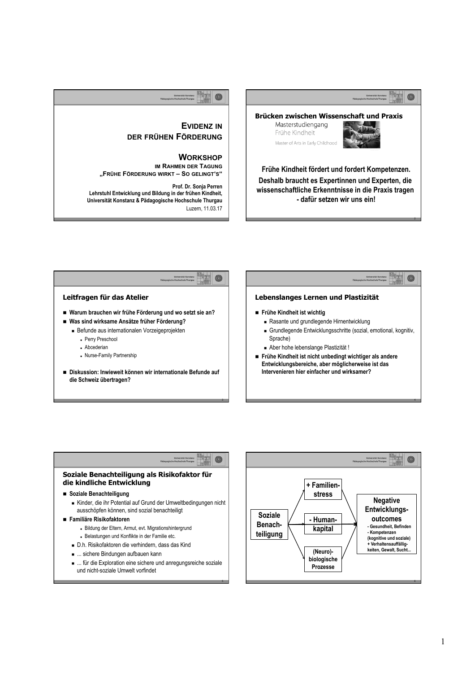## $\circledcirc$ **Brücken zwischen Wissenschaft und Praxis**  Masterstudiengang **EVIDENZ IN** Frühe Kindheit **DER FRÜHEN FÖRDERUNG**

**WORKSHOP IM RAHMEN DER TAGUNG**

**Prof. Dr. Sonja Perren** 

Luzern, 11.03.17

**"FRÜHE FÖRDERUNG WIRKT – SO GELINGT'S"** 

**Lehrstuhl Entwicklung und Bildung in der frühen Kindheit, Universität Konstanz & Pädagogische Hochschule Thurgau**



2

 $\circledcirc$ 

4

**Frühe Kindheit fördert und fordert Kompetenzen. Deshalb braucht es Expertinnen und Experten, die wissenschaftliche Erkenntnisse in die Praxis tragen - dafür setzen wir uns ein!** 

Master of Arts in Early Childhood



3

 $\circledcirc$ 

5

### **Soziale Benachteiligung als Risikofaktor für die kindliche Entwicklung**

## n **Soziale Benachteiligung**

- <sup>n</sup> Kinder, die ihr Potential auf Grund der Umweltbedingungen nicht ausschöpfen können, sind sozial benachteiligt
- n **Familiäre Risikofaktoren** 
	- Bildung der Eltern, Armut, evt. Migrationshintergrund
	- Belastungen und Konflikte in der Familie etc.
	- <sup>n</sup> D.h. Risikofaktoren die verhindern, dass das Kind
	- $\blacksquare$  ... sichere Bindungen aufbauen kann
	- <sup>n</sup> ... für die Exploration eine sichere und anregungsreiche soziale und nicht-soziale Umwelt vorfindet

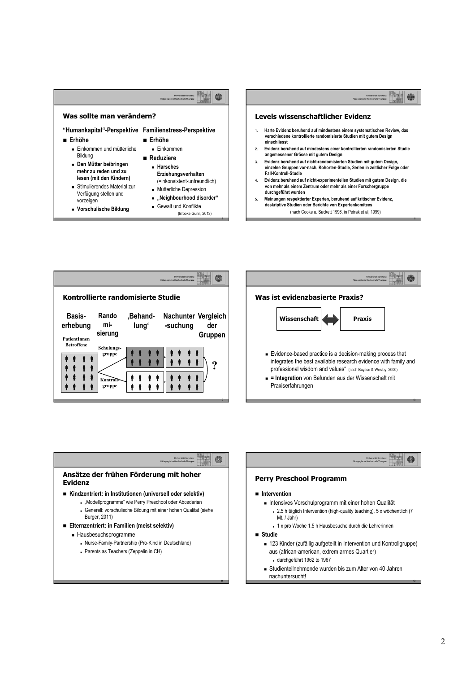



**Evidenz** 

Burger, 2011)

<sup>n</sup> Hausbesuchsprogramme

- Parents as Teachers (Zeppelin in CH)





11

n

- <sup>n</sup> 123 Kinder (zufällig aufgeteilt in Intervention und Kontrollgruppe) aus (african-american, extrem armes Quartier) <sup>n</sup> durchgeführt 1962 to 1967
- <sup>n</sup> Studienteilnehmende wurden bis zum Alter von 40 Jahren nachuntersucht!

12

6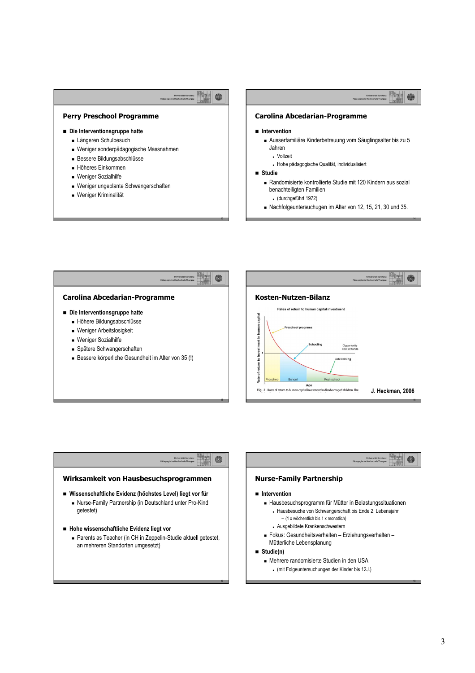半石  $\circledcirc$ 

### **Perry Preschool Programme**

- n **Die Interventionsgruppe hatte** 
	- Längeren Schulbesuch
	- <sup>n</sup> Weniger sonderpädagogische Massnahmen
	- <sup>n</sup> Bessere Bildungsabschlüsse
	- <sup>n</sup> Höheres Einkommen
	- **Neniger Sozialhilfe**
	- Weniger ungeplante Schwangerschaften
	- **Neniger Kriminalität**

### 猎虫  $\circledcirc$

14

### **Carolina Abcedarian-Programme**

### n **Intervention**

- <sup>n</sup> Ausserfamiliäre Kinderbetreuung vom Säuglingsalter bis zu 5 Jahren
	- <sup>n</sup> Vollzeit
	- <sup>n</sup> Hohe pädagogische Qualität, individualisiert

### n **Studie**

- <sup>n</sup> Randomisierte kontrollierte Studie mit 120 Kindern aus sozial benachteiligten Familien
	- <sup>n</sup> (durchgeführt 1972)
- <sup>n</sup> Nachfolgeuntersuchugen im Alter von 12, 15, 21, 30 und 35.



### achievement test scores than the control children because they were followups to age 40, the treated group had higher rates of high school graduation, higher salaries, higher percentages of home ownership, lower en I Nurse-Family than the controls (13). The economic benefits of the Perry Program are substantial (Table 1). Rates iur III Intervention **Intervention** cause the program participants are in the early **Nurse-Family Partnership** the dollar flow from a unit of investment at each **Age for a marginal inversität Konstanz** in a disadvantaged in a disadvantaged in a disadvantaged in a disadvantage<br>The disadvantaged in a disadvantage of the disadvantaged in a disadvantage of the disadvantage of the disa  $r$ adagogische Hochschule Thurgau economic return from early interventions is high, and the conomic return from early interventions is high, and Hausbesuche von Schwangerschaft bis Ende 2. Lebensjahr **Wirksamkeit von Hausbesuchsprogrammen**  n **Wissenschaftliche Evidenz (höchstes Level) liegt vor für**  <sup>n</sup> Nurse-Family Partnership (in Deutschland unter Pro-Kind getestet) n **Hohe wissenschaftliche Evidenz liegt vor**  ■ Parents as Teacher (in CH in Zeppelin-Studie aktuell getestet, an mehreren Standorten umgesetzt) <sup>n</sup> Hausbesuchsprogramm für Mütter in Belastungssituationen - (1 x wöchentlich bis 1 x monatlich) <sup>n</sup> Ausgebildete Krankenschwestern <sup>n</sup> Fokus: Gesundheitsverhalten – Erziehungsverhalten – Mütterliche Lebensplanung n **Studie(n)**  <sup>n</sup> Mehrere randomisierte Studien in den USA

 $.$  (mit Folgeuntersuchungen der Kinder bis 12J.)

### 3

18